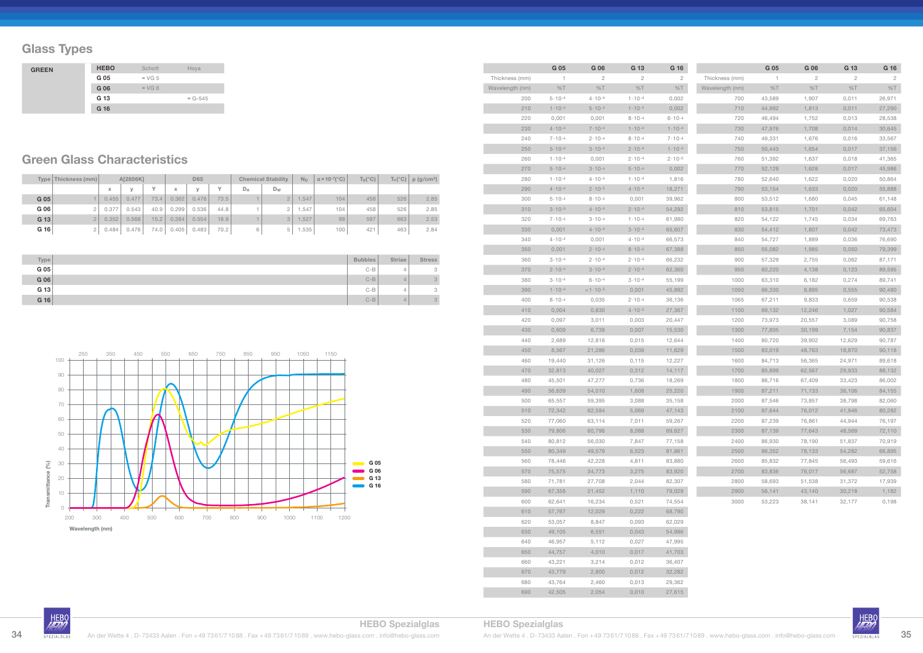## **Glass Types**

|        | Type   Thickness (mm) |                   | A[2856K] |              | D65   |        | <b>Chemical Stability</b> |       | $N_D$          | $\alpha$ × 10-7( $^{\circ}$ C) | $T_g$ (°C) | $T_s(^{\circ}C)$ | $\rho$ (g/cm <sup>3</sup> ) |      |
|--------|-----------------------|-------------------|----------|--------------|-------|--------|---------------------------|-------|----------------|--------------------------------|------------|------------------|-----------------------------|------|
|        |                       | $\mathbf{v}$<br>́ |          | $\checkmark$ | X     | $\vee$ | $\checkmark$              | $D_A$ | $D_W$          |                                |            |                  |                             |      |
| G 05   |                       | 0.455             | 0.477    | 73.4         | 0.362 | 0.476  | 73.5                      |       | $\overline{2}$ | 1.547                          | 104        | 458              | 526                         | 2.85 |
| G 06   |                       | 0.377             | 0.543    | 40.9         | 0.299 | 0.536  | 44.8                      |       |                | i.547                          | 104        | 458              | 526                         | 2.85 |
| G 13   |                       | 0.352             | 0.568    | 15.2         | 0.284 | 0.554  | 16.9                      |       | 3              | 1.527                          | 98         | 597              | 663                         | 2.53 |
| $G$ 16 |                       | 0.484             | 0.476    | 74.0         | 0.405 | 0.483  | 70.2                      | 6     | 5              | 1.535                          | 100        | 421              | 463                         | 2.84 |

| Type   | <b>Bubbles</b> | Striae   | <b>Stress</b> |
|--------|----------------|----------|---------------|
| G 05   | $C-B$          | $\Delta$ | 3             |
| G 06   | $C-B$          | 4        | $3 -$         |
| $G$ 13 | $C-B$          | 4        | 3             |
| $G$ 16 | $C-B$          | 4        | $3 -$         |

## **Green Glass Characteristics**

| <b>GREEN</b> | <b>HEBO</b> | Schott         | Hoya            |
|--------------|-------------|----------------|-----------------|
|              | G 05        | $\approx$ VG 5 |                 |
|              | G 06        | $\approx$ VG 6 |                 |
|              | G 13        |                | $\approx$ G-545 |
|              | G 16        |                |                 |

|                 | G 05              | G 06              | G 13              | G 16              |                 | G 05         | G 06           | G 13         | G 16           |
|-----------------|-------------------|-------------------|-------------------|-------------------|-----------------|--------------|----------------|--------------|----------------|
| Thickness (mm)  | 1                 | $\sqrt{2}$        | $\mathbf{2}$      | $\mathbf{2}$      | Thickness (mm)  | $\mathbf{1}$ | $\overline{c}$ | $\mathbf{2}$ | $\overline{2}$ |
| Wavelength (nm) | %T                | %T                | $\%$ T            | %T                | Wavelength (nm) | %T           | %T             | %T           | %T             |
| 200             | $5 \cdot 10^{-4}$ | $4.10 - 4$        | $1 \cdot 10^{-4}$ | 0,002             | 700             | 43,589       | 1,907          | 0,011        | 26,971         |
| 210             | $1 \cdot 10^{-4}$ | $5.10 - 4$        | $1 \cdot 10^{-4}$ | 0,002             | 710             | 44,992       | 1,813          | 0,011        | 27,290         |
| 220             | 0,001             | 0,001             | $8 \cdot 10^{-4}$ | $6.10 - 4$        | 720             | 46,494       | 1,752          | 0,013        | 28,538         |
| 230             | $4 \cdot 10^{-4}$ | $7.10 - 4$        | $1 \cdot 10^{-4}$ | $1 \cdot 10^{-4}$ | 730             | 47,976       | 1,708          | 0,014        | 30,645         |
| 240             | $7 \cdot 10^{-4}$ | $2.10 - 4$        | $8 \cdot 10^{-4}$ | $7.10 - 4$        | 740             | 49,331       | 1,676          | 0,016        | 33,567         |
| 250             | $5 \cdot 10^{-4}$ | $3 \cdot 10^{-4}$ | $2 \cdot 10^{-4}$ | $1.10 - 4$        | 750             | 50,443       | 1,654          | 0,017        | 37,156         |
| 260             | $1 \cdot 10^{-4}$ | 0,001             | $2 \cdot 10^{-4}$ | $2 \cdot 10^{-5}$ | 760             | 51,392       | 1,637          | 0,018        | 41,365         |
| 270             | $5 - 10 - 4$      | $3 \cdot 10 - 4$  | $5.10 - 4$        | 0,002             | 770             | 52,128       | 1,628          | 0,017        | 45,986         |
| 280             | $1 \cdot 10^{-4}$ | $4.10 - 4$        | $1 \cdot 10^{-4}$ | 1,816             | 780             | 52,640       | 1,622          | 0,020        | 50,864         |
| 290             | $4.10 - 4$        | $2 \cdot 10^{-5}$ | $4 \cdot 10^{-4}$ | 18,271            | 790             | 53,154       | 1,633          | 0,020        | 55,888         |
| 300             | $5 \cdot 10^{-4}$ | $8.10 - 4$        | 0,001             | 39,962            | 800             | 53,512       | 1,680          | 0,045        | 61,148         |
| 310             | $3 \cdot 10 - 5$  | $4.10 - 4$        | $2 \cdot 10^{-4}$ | 54,292            | 810             | 53,815       | 1,701          | 0,042        | 65,604         |
| 320             | $7 \cdot 10^{-4}$ | $3 \cdot 10^{-4}$ | $1 \cdot 10^{-4}$ | 61,980            | 820             | 54,122       | 1,745          | 0,034        | 69,763         |
| 330             | 0,001             | $4 \cdot 10^{-4}$ | $3 \cdot 10^{-4}$ | 65,607            | 830             | 54,412       | 1,807          | 0,042        | 73,473         |
| 340             | $4 \cdot 10 - 4$  | 0,001             | $4 \cdot 10^{-4}$ | 66,573            | 840             | 54,727       | 1,889          | 0,036        | 76,690         |
| 350             | 0,001             | $2.10 - 4$        | $8.10 - 5$        | 67,388            | 850             | 55,082       | 1,985          | 0,050        | 79,399         |
| 360             | $3 \cdot 10 - 4$  | $2.10 - 4$        | $2 \cdot 10^{-4}$ | 66,232            | 900             | 57,329       | 2,755          | 0,062        | 87,171         |
| 370             | $2 \cdot 10^{-4}$ | $3 \cdot 10 - 4$  | $2 \cdot 10^{-4}$ | 62,360            | 950             | 60,220       | 4,138          | 0,123        | 89,595         |
| 380             | $3 \cdot 10^{-4}$ | $6.10 - 4$        | $3 \cdot 10^{-4}$ | 55,199            | 1000            | 63,310       | 6,182          | 0,274        | 89,741         |
| 390             | $1 \cdot 10^{-4}$ | $<1.10 - 5$       | 0,001             | 45,892            | 1050            | 66,330       | 8,895          | 0,555        | 90,480         |
| 400             | $8 - 10 - 4$      | 0,035             | $2 \cdot 10^{-4}$ | 36,136            | 1065            | 67,211       | 9,833          | 0,659        | 90,538         |
| 410             | 0,004             | 0,830             | $4 \cdot 10^{-5}$ | 27,367            | 1100            | 69,132       | 12,246         | 1,027        | 90,584         |
| 420             | 0,097             | 3,011             | 0,003             | 20,447            | 1200            | 73,973       | 20,557         | 3,089        | 90,758         |
| 430             | 0,609             | 6,738             | 0,007             | 15,530            | 1300            | 77,805       | 30,199         | 7,154        | 90,837         |
| 440             | 2,689             | 12,816            | 0,015             | 12,644            | 1400            | 80,720       | 39,902         | 12,629       | 90,787         |
| 450             | 8,567             | 21,286            | 0,039             | 11,629            | 1500            | 83,019       | 48,763         | 18,870       | 90,118         |
| 460             | 19,440            | 31,126            | 0,115             | 12,227            | 1600            | 84,713       | 56,365         | 24,971       | 89,618         |
| 470             | 32,813            | 40,027            | 0,312             | 14,117            | 1700            | 85,899       | 62,567         | 29,933       | 88,132         |
| 480             | 45,501            | 47,277            | 0,736             | 18,269            | 1800            | 86,716       | 67,409         | 33,423       | 86,002         |
| 490             | 56,639            | 54,010            | 1,608             | 25,220            | 1900            | 87,211       | 71,133         | 36,106       | 84,155         |
| 500             | 65,557            | 59,395            | 3,088             | 35,158            | 2000            | 87,546       | 73,857         | 38,798       | 82,060         |
| 510             | 72,342            | 62,594            | 5,069             | 47,143            | 2100            | 87,644       | 76,012         | 41,946       | 80,282         |
| 520             | 77,060            | 63,114            | 7,011             | 59,267            | 2200            | 87,239       | 76,861         | 44,944       | 76,197         |
| 530             | 79,806            | 60,796            | 8,088             | 69,627            | 2300            | 87,139       | 77,643         | 48,569       | 72,110         |
| 540             | 80,812            | 56,030            | 7,847             | 77,158            | 2400            | 86,930       | 78,190         | 51,837       | 70,919         |
| 550             | 80,349            | 49,579            | 6,523             | 81,861            | 2500            | 86,352       | 78,133         | 54,282       | 66,895         |
| 560             | 78,446            | 42,228            | 4,811             | 83,880            | 2600            | 85,832       | 77,845         | 56,493       | 59,616         |
| 570             | 75,575            | 34,773            | 3,275             | 83,920            | 2700            | 83,836       | 76,017         | 56,687       | 52,758         |
| 580             | 71,781            | 27,708            | 2,044             | 82,307            | 2800            | 58,693       | 51,538         | 31,372       | 17,939         |
| 590             | 67,358            | 21,452            | 1,110             | 79,029            | 2900            | 56,141       | 43,140         | 30,218       | 1,182          |
| 600             | 62,641            | 16,234            | 0,521             | 74,554            | 3000            | 53,223       | 38,141         | 32,177       | 0,198          |
|                 | 57,767            | 12,029            | 0,222             | 68,790            |                 |              |                |              |                |
| 610             | 53,057            | 8,847             |                   | 62,029            |                 |              |                |              |                |
| 620             |                   |                   | 0,093             |                   |                 |              |                |              |                |
| 630             | 49,105            | 6,551             | 0,043             | 54,986            |                 |              |                |              |                |
| 640             | 46,957            | 5,112             | 0,027             | 47,995            |                 |              |                |              |                |
| 650             | 44,757            | 4,010             | 0,017             | 41,703            |                 |              |                |              |                |
| 660             | 43,221            | 3,214             | 0,012             | 36,407            |                 |              |                |              |                |
| 670             | 43,779            | 2,800             | 0,012             | 32,282            |                 |              |                |              |                |
| 680             | 43,764            | 2,460             | 0,013             | 29,362            |                 |              |                |              |                |
| 690             | 42,505            | 2,054             | 0,010             | 27,615            |                 |              |                |              |                |